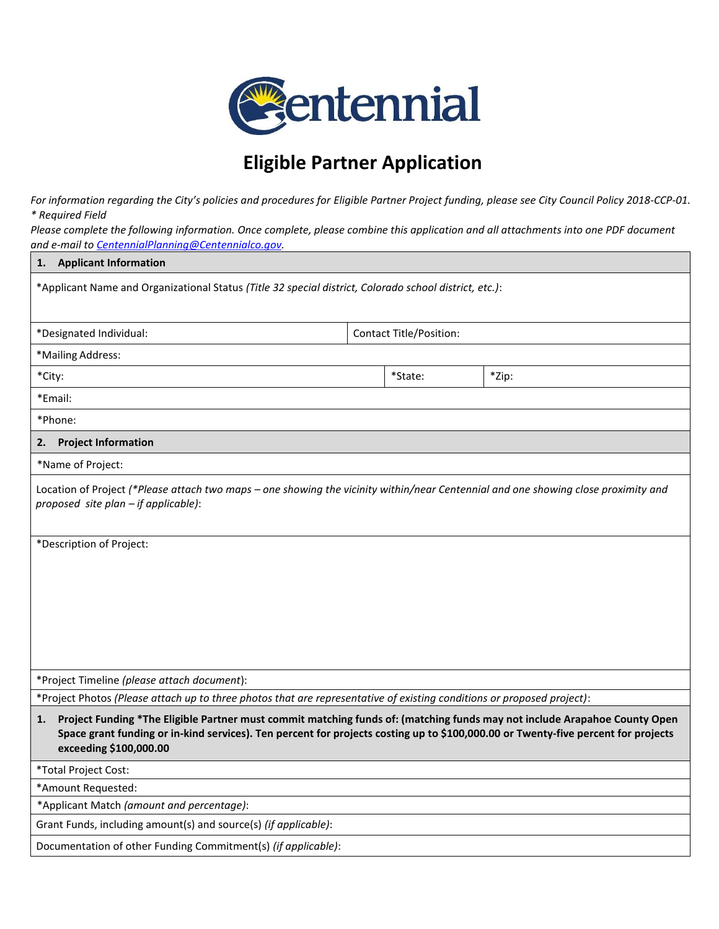

## **Eligible Partner Application**

For information regarding the City's policies and procedures for Eligible Partner Project funding, please see City Council Policy 2018-CCP-01. *\* Required Field* 

*Please complete the following information. Once complete, please combine this application and all attachments into one PDF document and e-mail to [CentennialPlanning@Centennialco.gov.](mailto:CentennialPlanning@Centennialco.gov)* 

| <b>Applicant Information</b><br>1.                                                                                                                                                                                                                                                             |                                |       |  |  |
|------------------------------------------------------------------------------------------------------------------------------------------------------------------------------------------------------------------------------------------------------------------------------------------------|--------------------------------|-------|--|--|
| *Applicant Name and Organizational Status (Title 32 special district, Colorado school district, etc.):                                                                                                                                                                                         |                                |       |  |  |
| *Designated Individual:                                                                                                                                                                                                                                                                        | <b>Contact Title/Position:</b> |       |  |  |
| *Mailing Address:                                                                                                                                                                                                                                                                              |                                |       |  |  |
| *City:                                                                                                                                                                                                                                                                                         | *State:                        | *Zip: |  |  |
| *Email:                                                                                                                                                                                                                                                                                        |                                |       |  |  |
| *Phone:                                                                                                                                                                                                                                                                                        |                                |       |  |  |
| <b>Project Information</b><br>2.                                                                                                                                                                                                                                                               |                                |       |  |  |
| *Name of Project:                                                                                                                                                                                                                                                                              |                                |       |  |  |
| Location of Project (*Please attach two maps – one showing the vicinity within/near Centennial and one showing close proximity and<br>proposed site plan - if applicable):                                                                                                                     |                                |       |  |  |
| *Description of Project:                                                                                                                                                                                                                                                                       |                                |       |  |  |
|                                                                                                                                                                                                                                                                                                |                                |       |  |  |
|                                                                                                                                                                                                                                                                                                |                                |       |  |  |
|                                                                                                                                                                                                                                                                                                |                                |       |  |  |
|                                                                                                                                                                                                                                                                                                |                                |       |  |  |
|                                                                                                                                                                                                                                                                                                |                                |       |  |  |
| *Project Timeline (please attach document):                                                                                                                                                                                                                                                    |                                |       |  |  |
| *Project Photos (Please attach up to three photos that are representative of existing conditions or proposed project):                                                                                                                                                                         |                                |       |  |  |
| Project Funding *The Eligible Partner must commit matching funds of: (matching funds may not include Arapahoe County Open<br>1.<br>Space grant funding or in-kind services). Ten percent for projects costing up to \$100,000.00 or Twenty-five percent for projects<br>exceeding \$100,000.00 |                                |       |  |  |
| *Total Project Cost:                                                                                                                                                                                                                                                                           |                                |       |  |  |
| *Amount Requested:                                                                                                                                                                                                                                                                             |                                |       |  |  |
| *Applicant Match (amount and percentage):                                                                                                                                                                                                                                                      |                                |       |  |  |
| Grant Funds, including amount(s) and source(s) (if applicable):                                                                                                                                                                                                                                |                                |       |  |  |
| Documentation of other Funding Commitment(s) (if applicable):                                                                                                                                                                                                                                  |                                |       |  |  |
|                                                                                                                                                                                                                                                                                                |                                |       |  |  |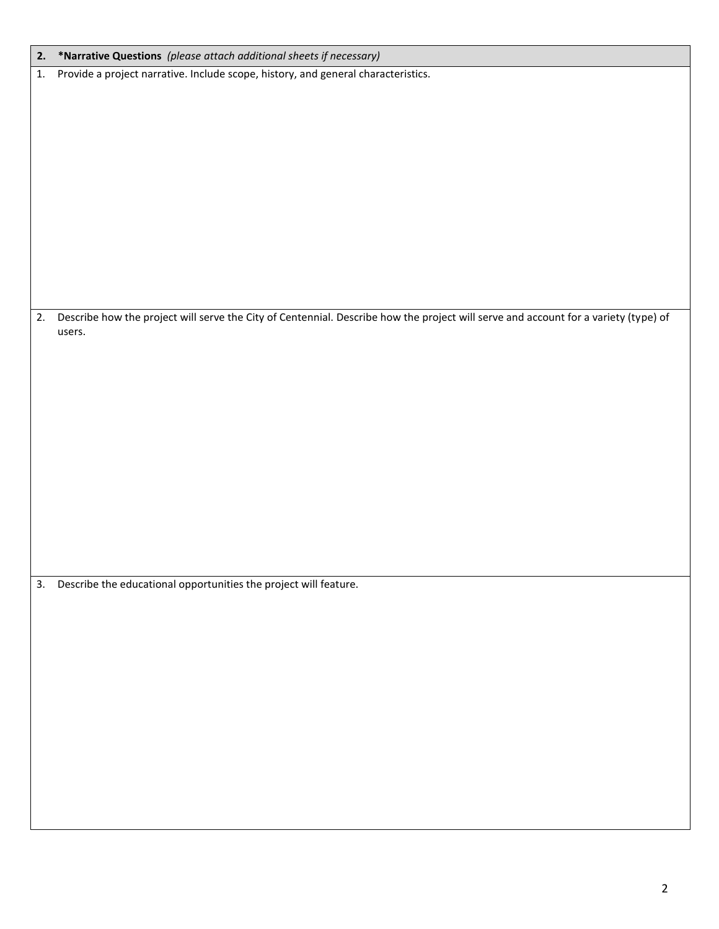| 2. | *Narrative Questions (please attach additional sheets if necessary)                                                                 |
|----|-------------------------------------------------------------------------------------------------------------------------------------|
| 1. | Provide a project narrative. Include scope, history, and general characteristics.                                                   |
|    |                                                                                                                                     |
|    |                                                                                                                                     |
|    |                                                                                                                                     |
|    |                                                                                                                                     |
|    |                                                                                                                                     |
|    |                                                                                                                                     |
|    |                                                                                                                                     |
|    |                                                                                                                                     |
|    |                                                                                                                                     |
|    |                                                                                                                                     |
| 2. | Describe how the project will serve the City of Centennial. Describe how the project will serve and account for a variety (type) of |
|    | users.                                                                                                                              |
|    |                                                                                                                                     |
|    |                                                                                                                                     |
|    |                                                                                                                                     |
|    |                                                                                                                                     |
|    |                                                                                                                                     |
|    |                                                                                                                                     |
|    |                                                                                                                                     |
|    |                                                                                                                                     |
|    |                                                                                                                                     |
|    |                                                                                                                                     |
|    | 3. Describe the educational opportunities the project will feature.                                                                 |
|    |                                                                                                                                     |
|    |                                                                                                                                     |
|    |                                                                                                                                     |
|    |                                                                                                                                     |
|    |                                                                                                                                     |
|    |                                                                                                                                     |
|    |                                                                                                                                     |
|    |                                                                                                                                     |
|    |                                                                                                                                     |
|    |                                                                                                                                     |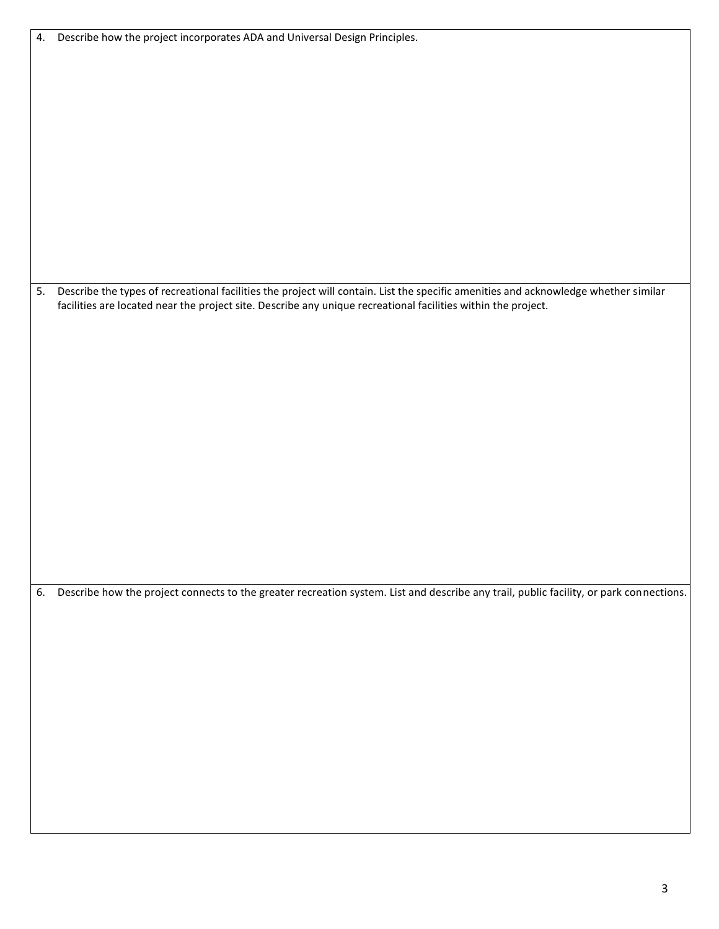| 5. Describe the types of recreational facilities the project will contain. List the specific amenities and acknowledge whether similar<br>facilities are located near the project site. Describe any unique recreational facilities within the project. |
|---------------------------------------------------------------------------------------------------------------------------------------------------------------------------------------------------------------------------------------------------------|
|                                                                                                                                                                                                                                                         |
|                                                                                                                                                                                                                                                         |
|                                                                                                                                                                                                                                                         |
|                                                                                                                                                                                                                                                         |
| 6. Describe how the project connects to the greater recreation system. List and describe any trail, public facility, or park connections.                                                                                                               |
|                                                                                                                                                                                                                                                         |
|                                                                                                                                                                                                                                                         |
|                                                                                                                                                                                                                                                         |
|                                                                                                                                                                                                                                                         |

4. Describe how the project incorporates ADA and Universal Design Principles.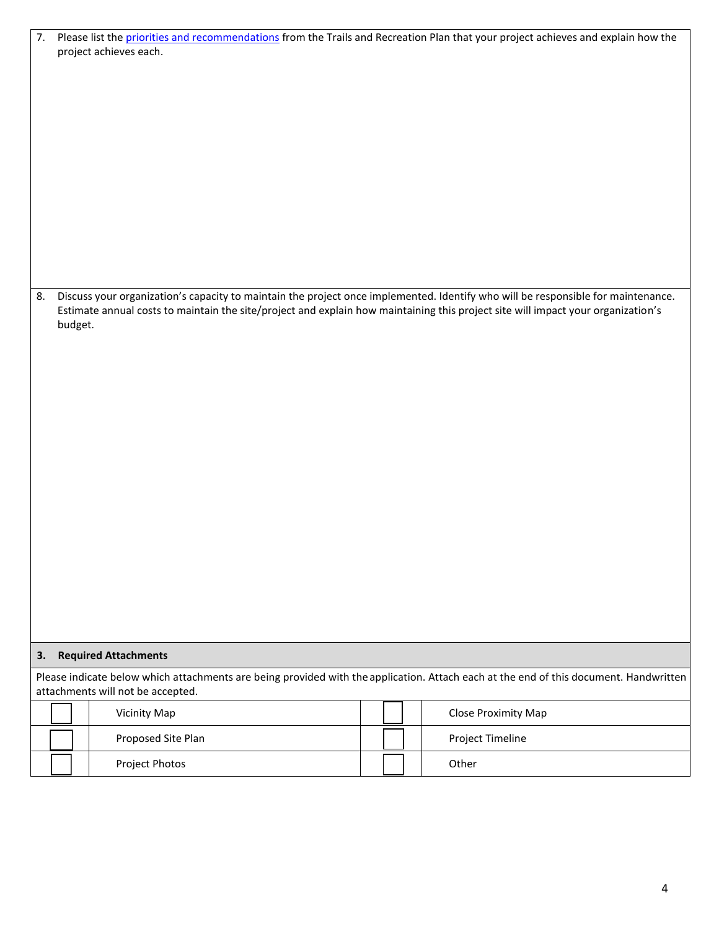| project achieves each.                                                                                                                                                     |  |  |  |  |  |  |  |
|----------------------------------------------------------------------------------------------------------------------------------------------------------------------------|--|--|--|--|--|--|--|
|                                                                                                                                                                            |  |  |  |  |  |  |  |
|                                                                                                                                                                            |  |  |  |  |  |  |  |
|                                                                                                                                                                            |  |  |  |  |  |  |  |
|                                                                                                                                                                            |  |  |  |  |  |  |  |
|                                                                                                                                                                            |  |  |  |  |  |  |  |
|                                                                                                                                                                            |  |  |  |  |  |  |  |
|                                                                                                                                                                            |  |  |  |  |  |  |  |
|                                                                                                                                                                            |  |  |  |  |  |  |  |
|                                                                                                                                                                            |  |  |  |  |  |  |  |
|                                                                                                                                                                            |  |  |  |  |  |  |  |
|                                                                                                                                                                            |  |  |  |  |  |  |  |
|                                                                                                                                                                            |  |  |  |  |  |  |  |
|                                                                                                                                                                            |  |  |  |  |  |  |  |
|                                                                                                                                                                            |  |  |  |  |  |  |  |
|                                                                                                                                                                            |  |  |  |  |  |  |  |
| Discuss your organization's capacity to maintain the project once implemented. Identify who will be responsible for maintenance.<br>8.                                     |  |  |  |  |  |  |  |
| Estimate annual costs to maintain the site/project and explain how maintaining this project site will impact your organization's<br>budget.                                |  |  |  |  |  |  |  |
|                                                                                                                                                                            |  |  |  |  |  |  |  |
|                                                                                                                                                                            |  |  |  |  |  |  |  |
|                                                                                                                                                                            |  |  |  |  |  |  |  |
|                                                                                                                                                                            |  |  |  |  |  |  |  |
|                                                                                                                                                                            |  |  |  |  |  |  |  |
|                                                                                                                                                                            |  |  |  |  |  |  |  |
|                                                                                                                                                                            |  |  |  |  |  |  |  |
|                                                                                                                                                                            |  |  |  |  |  |  |  |
|                                                                                                                                                                            |  |  |  |  |  |  |  |
|                                                                                                                                                                            |  |  |  |  |  |  |  |
|                                                                                                                                                                            |  |  |  |  |  |  |  |
|                                                                                                                                                                            |  |  |  |  |  |  |  |
|                                                                                                                                                                            |  |  |  |  |  |  |  |
|                                                                                                                                                                            |  |  |  |  |  |  |  |
|                                                                                                                                                                            |  |  |  |  |  |  |  |
|                                                                                                                                                                            |  |  |  |  |  |  |  |
|                                                                                                                                                                            |  |  |  |  |  |  |  |
|                                                                                                                                                                            |  |  |  |  |  |  |  |
|                                                                                                                                                                            |  |  |  |  |  |  |  |
|                                                                                                                                                                            |  |  |  |  |  |  |  |
| <b>Required Attachments</b><br>3.                                                                                                                                          |  |  |  |  |  |  |  |
| Please indicate below which attachments are being provided with the application. Attach each at the end of this document. Handwritten<br>attachments will not be accepted. |  |  |  |  |  |  |  |
| Vicinity Map<br>Close Proximity Map                                                                                                                                        |  |  |  |  |  |  |  |
| Proposed Site Plan<br>Project Timeline                                                                                                                                     |  |  |  |  |  |  |  |
| Project Photos<br>Other                                                                                                                                                    |  |  |  |  |  |  |  |